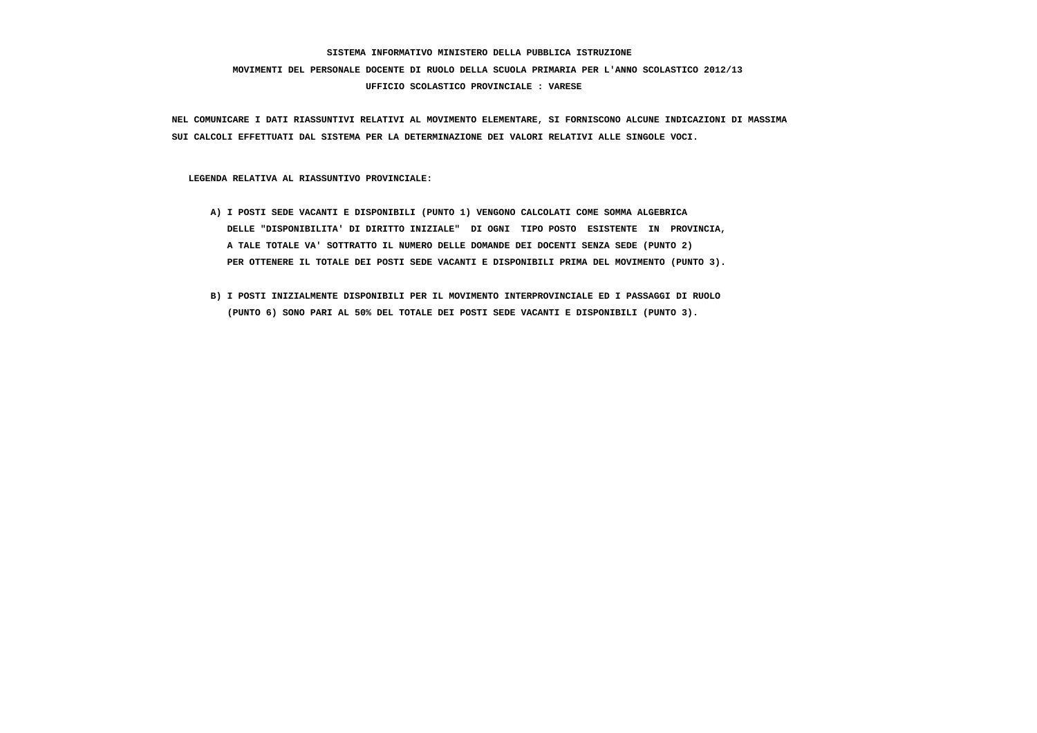# **SISTEMA INFORMATIVO MINISTERO DELLA PUBBLICA ISTRUZIONE MOVIMENTI DEL PERSONALE DOCENTE DI RUOLO DELLA SCUOLA PRIMARIA PER L'ANNO SCOLASTICO 2012/13 UFFICIO SCOLASTICO PROVINCIALE : VARESE**

 **NEL COMUNICARE I DATI RIASSUNTIVI RELATIVI AL MOVIMENTO ELEMENTARE, SI FORNISCONO ALCUNE INDICAZIONI DI MASSIMA SUI CALCOLI EFFETTUATI DAL SISTEMA PER LA DETERMINAZIONE DEI VALORI RELATIVI ALLE SINGOLE VOCI.**

 **LEGENDA RELATIVA AL RIASSUNTIVO PROVINCIALE:**

- **A) I POSTI SEDE VACANTI E DISPONIBILI (PUNTO 1) VENGONO CALCOLATI COME SOMMA ALGEBRICA DELLE "DISPONIBILITA' DI DIRITTO INIZIALE" DI OGNI TIPO POSTO ESISTENTE IN PROVINCIA, A TALE TOTALE VA' SOTTRATTO IL NUMERO DELLE DOMANDE DEI DOCENTI SENZA SEDE (PUNTO 2) PER OTTENERE IL TOTALE DEI POSTI SEDE VACANTI E DISPONIBILI PRIMA DEL MOVIMENTO (PUNTO 3).**
- **B) I POSTI INIZIALMENTE DISPONIBILI PER IL MOVIMENTO INTERPROVINCIALE ED I PASSAGGI DI RUOLO (PUNTO 6) SONO PARI AL 50% DEL TOTALE DEI POSTI SEDE VACANTI E DISPONIBILI (PUNTO 3).**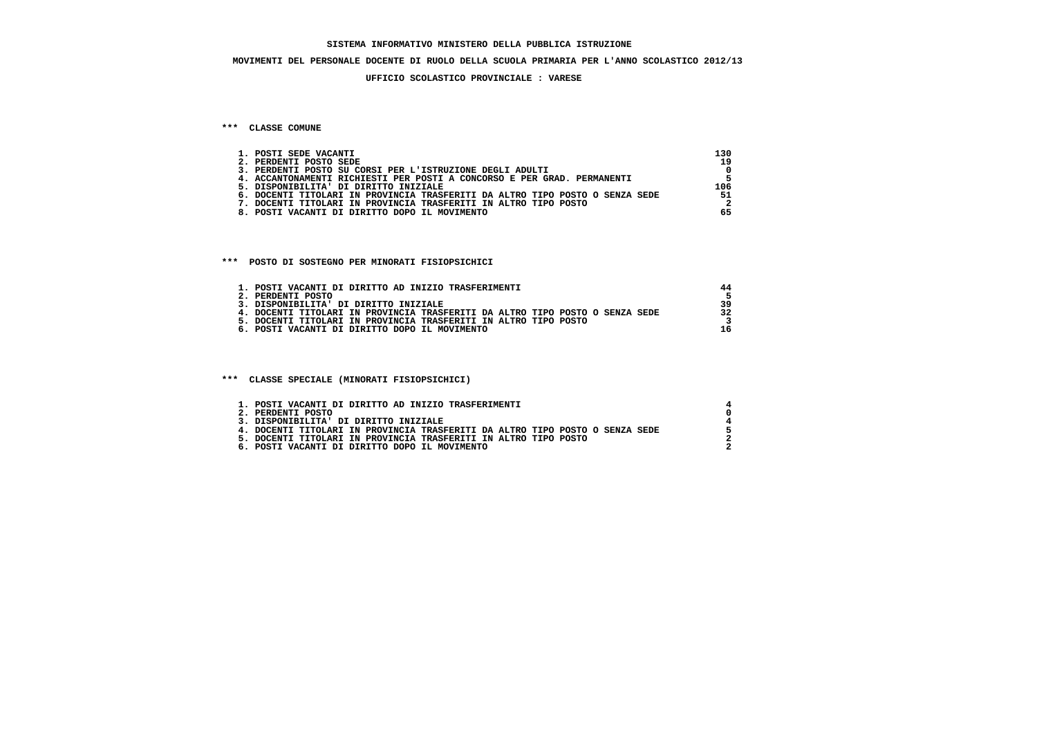### **MOVIMENTI DEL PERSONALE DOCENTE DI RUOLO DELLA SCUOLA PRIMARIA PER L'ANNO SCOLASTICO 2012/13**

#### **UFFICIO SCOLASTICO PROVINCIALE : VARESE**

### **\*\*\* CLASSE COMUNE**

| 1. POSTI SEDE VACANTI                                                        | 130 |
|------------------------------------------------------------------------------|-----|
| 2. PERDENTI POSTO SEDE                                                       | 19  |
| 3. PERDENTI POSTO SU CORSI PER L'ISTRUZIONE DEGLI ADULTI                     |     |
| 4. ACCANTONAMENTI RICHIESTI PER POSTI A CONCORSO E PER GRAD. PERMANENTI      |     |
| 5. DISPONIBILITA' DI DIRITTO INIZIALE                                        | 106 |
| 6. DOCENTI TITOLARI IN PROVINCIA TRASFERITI DA ALTRO TIPO POSTO O SENZA SEDE | 51  |
| . DOCENTI TITOLARI IN PROVINCIA TRASFERITI IN ALTRO TIPO POSTO               |     |
| 8. POSTI VACANTI DI DIRITTO DOPO IL MOVIMENTO                                | 65  |

### **\*\*\* POSTO DI SOSTEGNO PER MINORATI FISIOPSICHICI**

| 1. POSTI VACANTI DI DIRITTO AD INIZIO TRASFERIMENTI                          |  |
|------------------------------------------------------------------------------|--|
| 2. PERDENTI POSTO                                                            |  |
| 3. DISPONIBILITA' DI DIRITTO INIZIALE                                        |  |
| 4. DOCENTI TITOLARI IN PROVINCIA TRASFERITI DA ALTRO TIPO POSTO O SENZA SEDE |  |
| 5. DOCENTI TITOLARI IN PROVINCIA TRASFERITI IN ALTRO TIPO POSTO              |  |
| 6. POSTI VACANTI DI DIRITTO DOPO IL MOVIMENTO                                |  |

 **\*\*\* CLASSE SPECIALE (MINORATI FISIOPSICHICI)**

| 1. POSTI VACANTI DI DIRITTO AD INIZIO TRASFERIMENTI                          |  |
|------------------------------------------------------------------------------|--|
| 2. PERDENTI POSTO                                                            |  |
| 3. DISPONIBILITA' DI DIRITTO INIZIALE                                        |  |
| 4. DOCENTI TITOLARI IN PROVINCIA TRASFERITI DA ALTRO TIPO POSTO O SENZA SEDE |  |
| 5. DOCENTI TITOLARI IN PROVINCIA TRASFERITI IN ALTRO TIPO POSTO              |  |
| 6. POSTI VACANTI DI DIRITTO DOPO IL MOVIMENTO                                |  |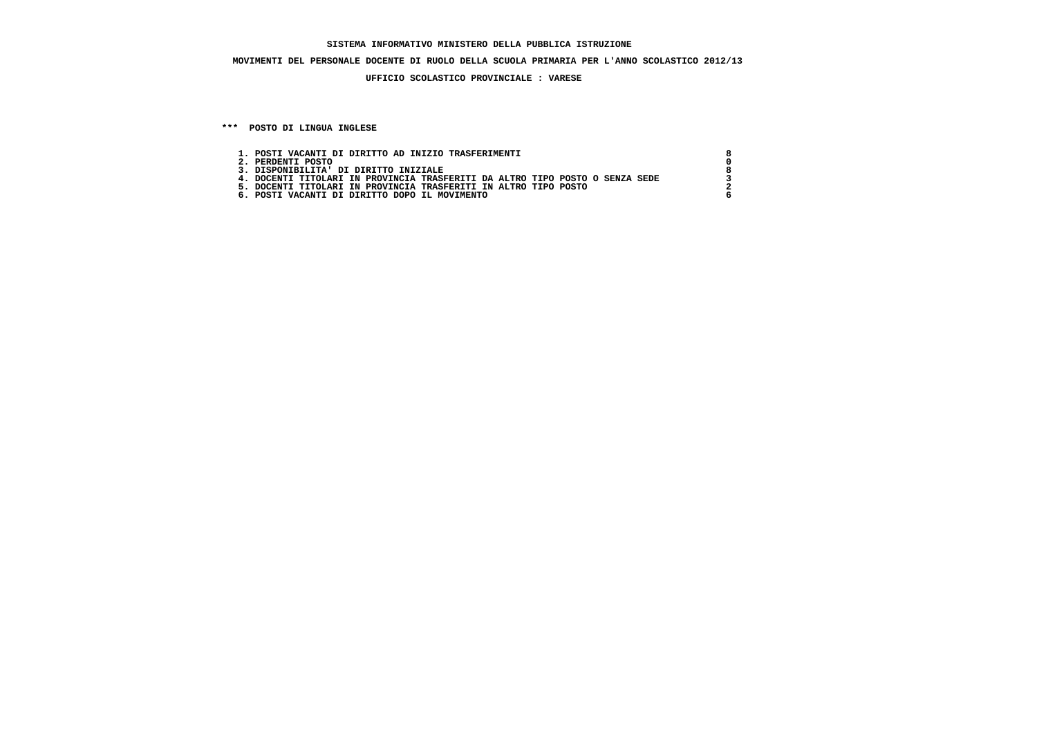### **SISTEMA INFORMATIVO MINISTERO DELLA PUBBLICA ISTRUZIONE**

## **MOVIMENTI DEL PERSONALE DOCENTE DI RUOLO DELLA SCUOLA PRIMARIA PER L'ANNO SCOLASTICO 2012/13**

## **UFFICIO SCOLASTICO PROVINCIALE : VARESE**

 **\*\*\* POSTO DI LINGUA INGLESE**

| 1. POSTI VACANTI DI DIRITTO AD INIZIO TRASFERIMENTI                          |  |
|------------------------------------------------------------------------------|--|
| 2. PERDENTI POSTO                                                            |  |
| 3. DISPONIBILITA' DI DIRITTO INIZIALE                                        |  |
| 4. DOCENTI TITOLARI IN PROVINCIA TRASFERITI DA ALTRO TIPO POSTO O SENZA SEDE |  |
| 5. DOCENTI TITOLARI IN PROVINCIA TRASFERITI IN ALTRO TIPO POSTO              |  |
| 6. POSTI VACANTI DI DIRITTO DOPO IL MOVIMENTO                                |  |